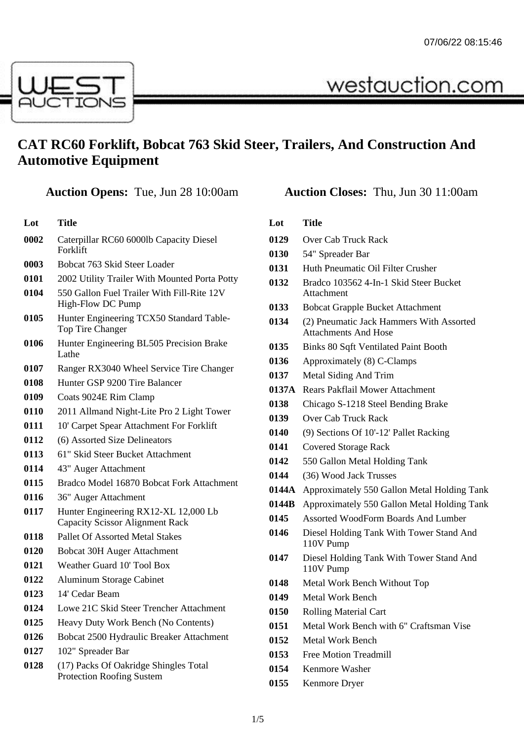westauction.com



## **CAT RC60 Forklift, Bobcat 763 Skid Steer, Trailers, And Construction And Automotive Equipment**

## **Auction Opens:** Tue, Jun 28 10:00am **Auction Closes:** Thu, Jun 30 11:00am

| Lot  | Title                                                                          |
|------|--------------------------------------------------------------------------------|
| 0002 | Caterpillar RC60 6000lb Capacity Diesel<br>Forklift                            |
| 0003 | Bobcat 763 Skid Steer Loader                                                   |
| 0101 | 2002 Utility Trailer With Mounted Porta Potty                                  |
| 0104 | 550 Gallon Fuel Trailer With Fill-Rite 12V<br>High-Flow DC Pump                |
| 0105 | Hunter Engineering TCX50 Standard Table-<br>Top Tire Changer                   |
| 0106 | Hunter Engineering BL505 Precision Brake<br>Lathe                              |
| 0107 | Ranger RX3040 Wheel Service Tire Changer                                       |
| 0108 | Hunter GSP 9200 Tire Balancer                                                  |
| 0109 | Coats 9024E Rim Clamp                                                          |
| 0110 | 2011 Allmand Night-Lite Pro 2 Light Tower                                      |
| 0111 | 10' Carpet Spear Attachment For Forklift                                       |
| 0112 | (6) Assorted Size Delineators                                                  |
| 0113 | 61" Skid Steer Bucket Attachment                                               |
| 0114 | 43" Auger Attachment                                                           |
| 0115 | Bradco Model 16870 Bobcat Fork Attachment                                      |
| 0116 | 36" Auger Attachment                                                           |
| 0117 | Hunter Engineering RX12-XL 12,000 Lb<br><b>Capacity Scissor Alignment Rack</b> |
| 0118 | <b>Pallet Of Assorted Metal Stakes</b>                                         |
| 0120 | <b>Bobcat 30H Auger Attachment</b>                                             |
| 0121 | Weather Guard 10' Tool Box                                                     |
| 0122 | Aluminum Storage Cabinet                                                       |
| 0123 | 14' Cedar Beam                                                                 |
| 0124 | Lowe 21C Skid Steer Trencher Attachment                                        |
| 0125 | Heavy Duty Work Bench (No Contents)                                            |
| 0126 | Bobcat 2500 Hydraulic Breaker Attachment                                       |
| 0127 | 102" Spreader Bar                                                              |
| 0128 | (17) Packs Of Oakridge Shingles Total<br><b>Protection Roofing Sustem</b>      |
|      |                                                                                |

| Lot   | Title                                                                   |
|-------|-------------------------------------------------------------------------|
| 0129  | Over Cab Truck Rack                                                     |
| 0130  | 54" Spreader Bar                                                        |
| 0131  | Huth Pneumatic Oil Filter Crusher                                       |
| 0132  | Bradco 103562 4-In-1 Skid Steer Bucket<br>Attachment                    |
| 0133  | <b>Bobcat Grapple Bucket Attachment</b>                                 |
| 0134  | (2) Pneumatic Jack Hammers With Assorted<br><b>Attachments And Hose</b> |
| 0135  | <b>Binks 80 Sqft Ventilated Paint Booth</b>                             |
| 0136  | Approximately (8) C-Clamps                                              |
| 0137  | Metal Siding And Trim                                                   |
| 0137A | <b>Rears Pakflail Mower Attachment</b>                                  |
| 0138  | Chicago S-1218 Steel Bending Brake                                      |
| 0139  | <b>Over Cab Truck Rack</b>                                              |
| 0140  | (9) Sections Of 10'-12' Pallet Racking                                  |
| 0141  | <b>Covered Storage Rack</b>                                             |
| 0142  | 550 Gallon Metal Holding Tank                                           |
| 0144  | (36) Wood Jack Trusses                                                  |
| 0144A | Approximately 550 Gallon Metal Holding Tank                             |
| 0144B | Approximately 550 Gallon Metal Holding Tank                             |
| 0145  | <b>Assorted WoodForm Boards And Lumber</b>                              |
| 0146  | Diesel Holding Tank With Tower Stand And<br>110V Pump                   |
| 0147  | Diesel Holding Tank With Tower Stand And<br>110V Pump                   |
| 0148  | Metal Work Bench Without Top                                            |
| 0149  | Metal Work Bench                                                        |
| 0150  | <b>Rolling Material Cart</b>                                            |
| 0151  | Metal Work Bench with 6" Craftsman Vise                                 |
| 0152  | Metal Work Bench                                                        |
| 0153  | <b>Free Motion Treadmill</b>                                            |
| 0154  | Kenmore Washer                                                          |
| 0155  | Kenmore Dryer                                                           |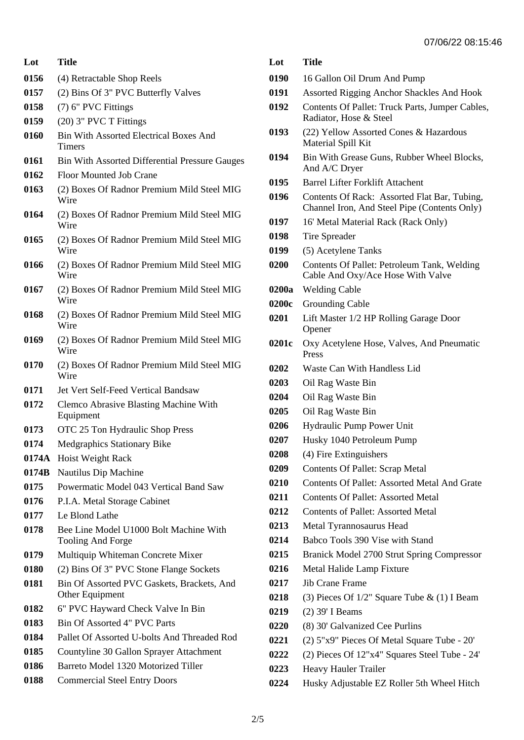| Lot   | Title                                                          |
|-------|----------------------------------------------------------------|
| 0156  | (4) Retractable Shop Reels                                     |
| 0157  | (2) Bins Of 3" PVC Butterfly Valves                            |
| 0158  | (7) 6" PVC Fittings                                            |
| 0159  | (20) 3" PVC T Fittings                                         |
| 0160  | <b>Bin With Assorted Electrical Boxes And</b><br><b>Timers</b> |
| 0161  | <b>Bin With Assorted Differential Pressure Gauges</b>          |
| 0162  | <b>Floor Mounted Job Crane</b>                                 |
| 0163  | (2) Boxes Of Radnor Premium Mild Steel MIG<br>Wire             |
| 0164  | (2) Boxes Of Radnor Premium Mild Steel MIG<br>Wire             |
| 0165  | (2) Boxes Of Radnor Premium Mild Steel MIG<br>Wire             |
| 0166  | (2) Boxes Of Radnor Premium Mild Steel MIG<br>Wire             |
| 0167  | (2) Boxes Of Radnor Premium Mild Steel MIG<br>Wire             |
| 0168  | (2) Boxes Of Radnor Premium Mild Steel MIG<br>Wire             |
| 0169  | (2) Boxes Of Radnor Premium Mild Steel MIG<br>Wire             |
| 0170  | (2) Boxes Of Radnor Premium Mild Steel MIG<br>Wire             |
| 0171  | Jet Vert Self-Feed Vertical Bandsaw                            |
| 0172  | Clemco Abrasive Blasting Machine With<br>Equipment             |
| 0173  | OTC 25 Ton Hydraulic Shop Press                                |
| 0174  | <b>Medgraphics Stationary Bike</b>                             |
| 0174A | Hoist Weight Rack                                              |
| 0174B | Nautilus Dip Machine                                           |
| 0175  | Powermatic Model 043 Vertical Band Saw                         |
| 0176  | P.I.A. Metal Storage Cabinet                                   |
| 0177  | Le Blond Lathe                                                 |
| 0178  | Bee Line Model U1000 Bolt Machine With<br>Tooling And Forge    |
| 0179  | Multiquip Whiteman Concrete Mixer                              |
| 0180  | (2) Bins Of 3" PVC Stone Flange Sockets                        |
| 0181  | Bin Of Assorted PVC Gaskets, Brackets, And<br>Other Equipment  |
| 0182  | 6" PVC Hayward Check Valve In Bin                              |
| 0183  | Bin Of Assorted 4" PVC Parts                                   |
| 0184  | Pallet Of Assorted U-bolts And Threaded Rod                    |
| 0185  | Countyline 30 Gallon Sprayer Attachment                        |
| 0186  | Barreto Model 1320 Motorized Tiller                            |
| 0188  | <b>Commercial Steel Entry Doors</b>                            |

| Lot   | <b>Title</b>                                                                                 |
|-------|----------------------------------------------------------------------------------------------|
| 0190  | 16 Gallon Oil Drum And Pump                                                                  |
| 0191  | <b>Assorted Rigging Anchor Shackles And Hook</b>                                             |
| 0192  | Contents Of Pallet: Truck Parts, Jumper Cables,<br>Radiator, Hose & Steel                    |
| 0193  | (22) Yellow Assorted Cones & Hazardous<br>Material Spill Kit                                 |
| 0194  | Bin With Grease Guns, Rubber Wheel Blocks,<br>And A/C Dryer                                  |
| 0195  | <b>Barrel Lifter Forklift Attachent</b>                                                      |
| 0196  | Contents Of Rack: Assorted Flat Bar, Tubing,<br>Channel Iron, And Steel Pipe (Contents Only) |
| 0197  | 16' Metal Material Rack (Rack Only)                                                          |
| 0198  | Tire Spreader                                                                                |
| 0199  | (5) Acetylene Tanks                                                                          |
| 0200  | Contents Of Pallet: Petroleum Tank, Welding<br>Cable And Oxy/Ace Hose With Valve             |
| 0200a | <b>Welding Cable</b>                                                                         |
| 0200c | <b>Grounding Cable</b>                                                                       |
| 0201  | Lift Master 1/2 HP Rolling Garage Door<br>Opener                                             |
| 0201c | Oxy Acetylene Hose, Valves, And Pneumatic<br>Press                                           |
| 0202  | Waste Can With Handless Lid                                                                  |
| 0203  | Oil Rag Waste Bin                                                                            |
| 0204  | Oil Rag Waste Bin                                                                            |
| 0205  | Oil Rag Waste Bin                                                                            |
| 0206  | Hydraulic Pump Power Unit                                                                    |
| 0207  | Husky 1040 Petroleum Pump                                                                    |
| 0208  | (4) Fire Extinguishers                                                                       |
| 0209  | <b>Contents Of Pallet: Scrap Metal</b>                                                       |
| 0210  | <b>Contents Of Pallet: Assorted Metal And Grate</b>                                          |
| 0211  | <b>Contents Of Pallet: Assorted Metal</b>                                                    |
| 0212  | <b>Contents of Pallet: Assorted Metal</b>                                                    |
| 0213  | Metal Tyrannosaurus Head                                                                     |
| 0214  | Babco Tools 390 Vise with Stand                                                              |
| 0215  | Branick Model 2700 Strut Spring Compressor                                                   |
| 0216  | Metal Halide Lamp Fixture                                                                    |
| 0217  | <b>Jib Crane Frame</b>                                                                       |
| 0218  | (3) Pieces Of $1/2$ " Square Tube & (1) I Beam                                               |
| 0219  | (2) 39' I Beams                                                                              |
| 0220  | (8) 30' Galvanized Cee Purlins                                                               |
| 0221  | (2) 5"x9" Pieces Of Metal Square Tube - 20"                                                  |
| 0222  | (2) Pieces Of 12"x4" Squares Steel Tube - 24'                                                |
| 0223  | Heavy Hauler Trailer                                                                         |

Husky Adjustable EZ Roller 5th Wheel Hitch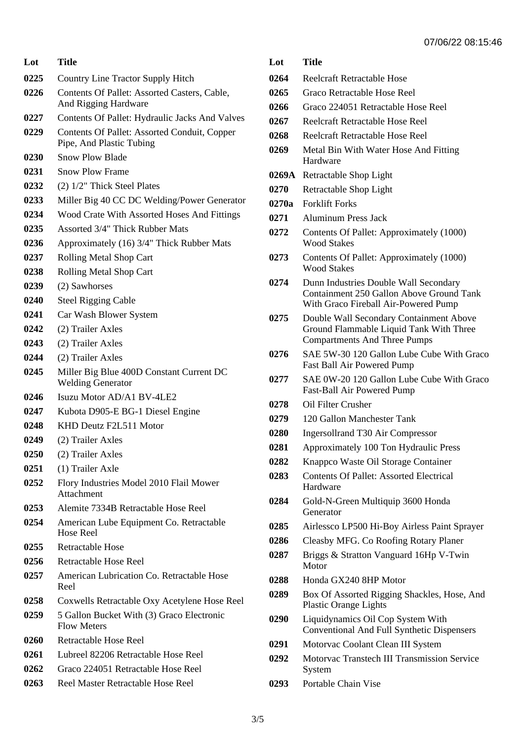| Lot  | <b>Title</b>                                                             |  |
|------|--------------------------------------------------------------------------|--|
| 0225 | Country Line Tractor Supply Hitch                                        |  |
| 0226 | Contents Of Pallet: Assorted Casters, Cable,<br>And Rigging Hardware     |  |
| 0227 | <b>Contents Of Pallet: Hydraulic Jacks And Valves</b>                    |  |
| 0229 | Contents Of Pallet: Assorted Conduit, Copper<br>Pipe, And Plastic Tubing |  |
| 0230 | <b>Snow Plow Blade</b>                                                   |  |
| 0231 | <b>Snow Plow Frame</b>                                                   |  |
| 0232 | (2) 1/2" Thick Steel Plates                                              |  |
| 0233 | Miller Big 40 CC DC Welding/Power Generator                              |  |
| 0234 | Wood Crate With Assorted Hoses And Fittings                              |  |
| 0235 | Assorted 3/4" Thick Rubber Mats                                          |  |
| 0236 | Approximately (16) 3/4" Thick Rubber Mats                                |  |
| 0237 | Rolling Metal Shop Cart                                                  |  |
| 0238 | Rolling Metal Shop Cart                                                  |  |
| 0239 | (2) Sawhorses                                                            |  |
| 0240 | <b>Steel Rigging Cable</b>                                               |  |
| 0241 | Car Wash Blower System                                                   |  |
| 0242 | (2) Trailer Axles                                                        |  |
| 0243 | (2) Trailer Axles                                                        |  |
| 0244 | (2) Trailer Axles                                                        |  |
| 0245 | Miller Big Blue 400D Constant Current DC<br><b>Welding Generator</b>     |  |
| 0246 | Isuzu Motor AD/A1 BV-4LE2                                                |  |
| 0247 | Kubota D905-E BG-1 Diesel Engine                                         |  |
| 0248 | KHD Deutz F2L511 Motor                                                   |  |
| 0249 | (2) Trailer Axles                                                        |  |
| 0250 | (2) Trailer Axles                                                        |  |
| 0251 | (1) Trailer Axle                                                         |  |
| 0252 | Flory Industries Model 2010 Flail Mower<br>Attachment                    |  |
| 0253 | Alemite 7334B Retractable Hose Reel                                      |  |
| 0254 | American Lube Equipment Co. Retractable<br><b>Hose Reel</b>              |  |
| 0255 | Retractable Hose                                                         |  |
| 0256 | Retractable Hose Reel                                                    |  |
| 0257 | American Lubrication Co. Retractable Hose<br>Reel                        |  |
| 0258 | Coxwells Retractable Oxy Acetylene Hose Reel                             |  |
| 0259 | 5 Gallon Bucket With (3) Graco Electronic<br><b>Flow Meters</b>          |  |
| 0260 | Retractable Hose Reel                                                    |  |
| 0261 | Lubreel 82206 Retractable Hose Reel                                      |  |
| 0262 | Graco 224051 Retractable Hose Reel                                       |  |
| 0263 | Reel Master Retractable Hose Reel                                        |  |

| Lot   | <b>Title</b>                                                                                                              |
|-------|---------------------------------------------------------------------------------------------------------------------------|
| 0264  | <b>Reelcraft Retractable Hose</b>                                                                                         |
| 0265  | Graco Retractable Hose Reel                                                                                               |
| 0266  | Graco 224051 Retractable Hose Reel                                                                                        |
| 0267  | Reelcraft Retractable Hose Reel                                                                                           |
| 0268  | Reelcraft Retractable Hose Reel                                                                                           |
| 0269  | Metal Bin With Water Hose And Fitting<br>Hardware                                                                         |
| 0269A | Retractable Shop Light                                                                                                    |
| 0270  | Retractable Shop Light                                                                                                    |
| 0270a | <b>Forklift Forks</b>                                                                                                     |
| 0271  | <b>Aluminum Press Jack</b>                                                                                                |
| 0272  | Contents Of Pallet: Approximately (1000)<br><b>Wood Stakes</b>                                                            |
| 0273  | Contents Of Pallet: Approximately (1000)<br><b>Wood Stakes</b>                                                            |
| 0274  | Dunn Industries Double Wall Secondary<br>Containment 250 Gallon Above Ground Tank<br>With Graco Fireball Air-Powered Pump |
| 0275  | Double Wall Secondary Containment Above<br>Ground Flammable Liquid Tank With Three<br><b>Compartments And Three Pumps</b> |
| 0276  | SAE 5W-30 120 Gallon Lube Cube With Graco<br>Fast Ball Air Powered Pump                                                   |
| 0277  | SAE 0W-20 120 Gallon Lube Cube With Graco<br>Fast-Ball Air Powered Pump                                                   |
| 0278  | Oil Filter Crusher                                                                                                        |
| 0279  | 120 Gallon Manchester Tank                                                                                                |
| 0280  | <b>Ingersollrand T30 Air Compressor</b>                                                                                   |
| 0281  | Approximately 100 Ton Hydraulic Press                                                                                     |
| 0282  | Knappco Waste Oil Storage Container                                                                                       |
| 0283  | <b>Contents Of Pallet: Assorted Electrical</b><br>Hardware                                                                |
| 0284  | Gold-N-Green Multiquip 3600 Honda<br>Generator                                                                            |
| 0285  | Airlessco LP500 Hi-Boy Airless Paint Sprayer                                                                              |
| 0286  | Cleasby MFG. Co Roofing Rotary Planer                                                                                     |
| 0287  | Briggs & Stratton Vanguard 16Hp V-Twin<br>Motor                                                                           |
| 0288  | Honda GX240 8HP Motor                                                                                                     |
| 0289  | Box Of Assorted Rigging Shackles, Hose, And<br><b>Plastic Orange Lights</b>                                               |
| 0290  | Liquidynamics Oil Cop System With<br>Conventional And Full Synthetic Dispensers                                           |
| 0291  | Motorvac Coolant Clean III System                                                                                         |
| 0292  | Motorvac Transtech III Transmission Service<br>System                                                                     |
| 0293  | Portable Chain Vise                                                                                                       |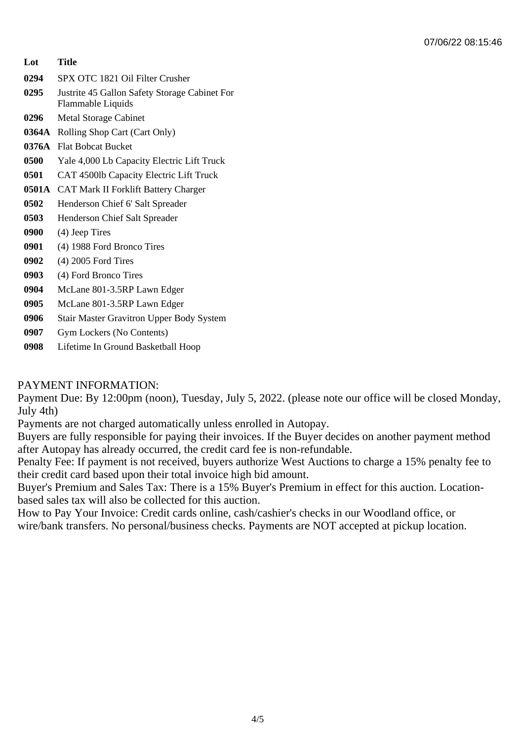| Lot   | Title                                                              |
|-------|--------------------------------------------------------------------|
| 0294  | SPX OTC 1821 Oil Filter Crusher                                    |
| 0295  | Justrite 45 Gallon Safety Storage Cabinet For<br>Flammable Liquids |
| 0296  | <b>Metal Storage Cabinet</b>                                       |
| 0364A | Rolling Shop Cart (Cart Only)                                      |
| 0376A | <b>Flat Bobcat Bucket</b>                                          |
| 0500  | Yale 4,000 Lb Capacity Electric Lift Truck                         |
| 0501  | CAT 4500lb Capacity Electric Lift Truck                            |
|       | 0501A CAT Mark II Forklift Battery Charger                         |
| 0502  | Henderson Chief 6' Salt Spreader                                   |
| 0503  | Henderson Chief Salt Spreader                                      |
| 0900  | (4) Jeep Tires                                                     |
| 0901  | (4) 1988 Ford Bronco Tires                                         |
| 0902  | $(4)$ 2005 Ford Tires                                              |
| 0903  | (4) Ford Bronco Tires                                              |
| 0904  | McLane 801-3.5RP Lawn Edger                                        |
| 0905  | McLane 801-3.5RP Lawn Edger                                        |
| 0906  | <b>Stair Master Gravitron Upper Body System</b>                    |
|       |                                                                    |

- **0907** Gym Lockers (No Contents)
- **0908** Lifetime In Ground Basketball Hoop

## PAYMENT INFORMATION:

Payment Due: By 12:00pm (noon), Tuesday, July 5, 2022. (please note our office will be closed Monday, July 4th)

Payments are not charged automatically unless enrolled in Autopay.

Buyers are fully responsible for paying their invoices. If the Buyer decides on another payment method after Autopay has already occurred, the credit card fee is non-refundable.

Penalty Fee: If payment is not received, buyers authorize West Auctions to charge a 15% penalty fee to their credit card based upon their total invoice high bid amount.

Buyer's Premium and Sales Tax: There is a 15% Buyer's Premium in effect for this auction. Locationbased sales tax will also be collected for this auction.

How to Pay Your Invoice: Credit cards online, cash/cashier's checks in our Woodland office, or wire/bank transfers. No personal/business checks. Payments are NOT accepted at pickup location.